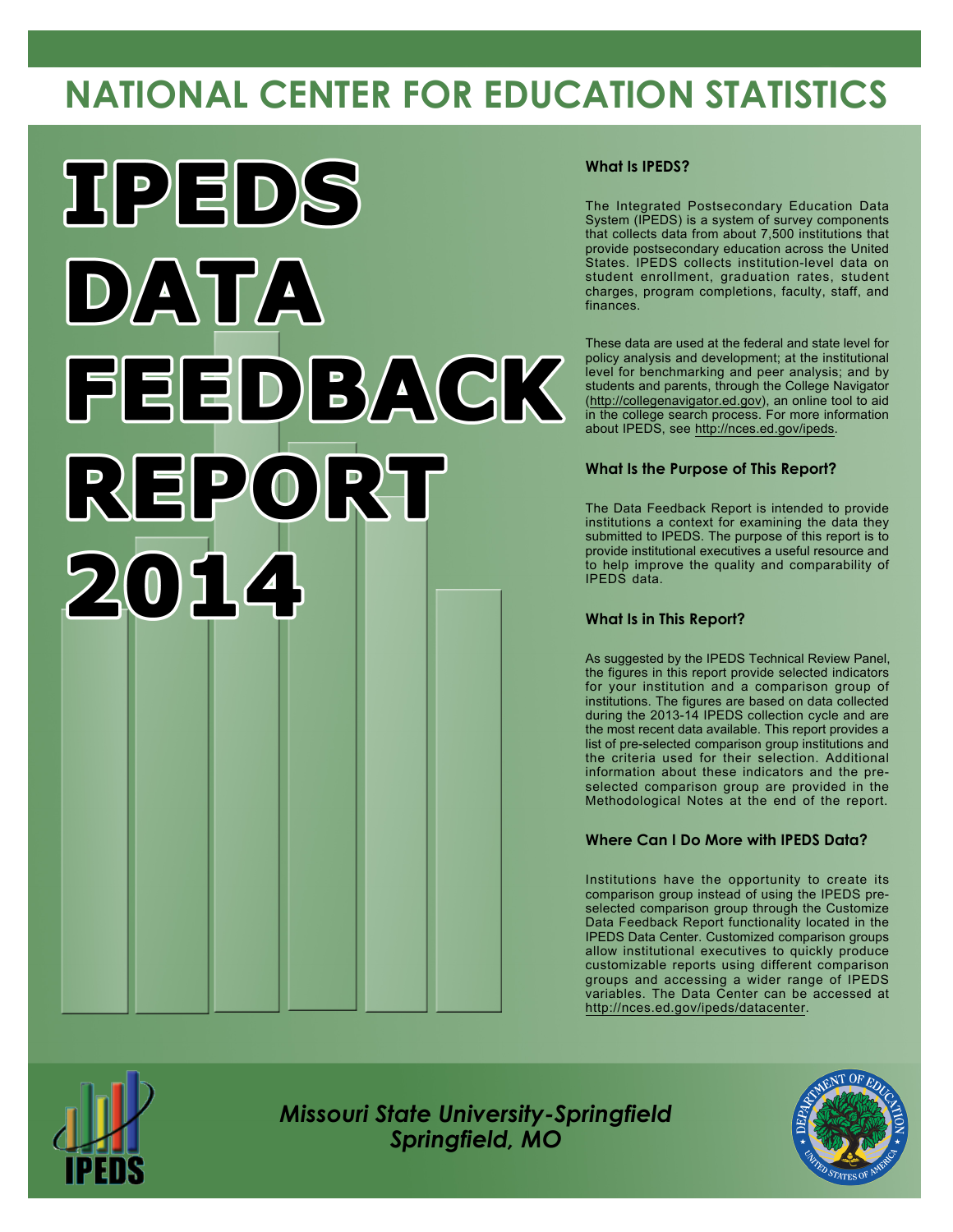# **NATIONAL CENTER FOR EDUCATION STATISTICS**



#### **What Is IPEDS?**

The Integrated Postsecondary Education Data System (IPEDS) is a system of survey components that collects data from about 7,500 institutions that provide postsecondary education across the United States. IPEDS collects institution-level data on student enrollment, graduation rates, student charges, program completions, faculty, staff, and finances.

These data are used at the federal and state level for policy analysis and development; at the institutional level for benchmarking and peer analysis; and by students and parents, through the College Navigator [\(http://collegenavigator.ed.gov](http://collegenavigator.ed.gov)), an online tool to aid in the college search process. For more information about IPEDS, see <http://nces.ed.gov/ipeds>.

#### **What Is the Purpose of This Report?**

The Data Feedback Report is intended to provide institutions a context for examining the data they submitted to IPEDS. The purpose of this report is to provide institutional executives a useful resource and to help improve the quality and comparability of IPEDS data.

#### **What Is in This Report?**

As suggested by the IPEDS Technical Review Panel, the figures in this report provide selected indicators for your institution and a comparison group of institutions. The figures are based on data collected during the 2013-14 IPEDS collection cycle and are the most recent data available. This report provides a list of pre-selected comparison group institutions and the criteria used for their selection. Additional information about these indicators and the preselected comparison group are provided in the Methodological Notes at the end of the report.

#### **Where Can I Do More with IPEDS Data?**

Institutions have the opportunity to create its comparison group instead of using the IPEDS preselected comparison group through the Customize Data Feedback Report functionality located in the IPEDS Data Center. Customized comparison groups allow institutional executives to quickly produce customizable reports using different comparison groups and accessing a wider range of IPEDS variables. The Data Center can be accessed at <http://nces.ed.gov/ipeds/datacenter>.



*Missouri State University-Springfield Springfield, MO*

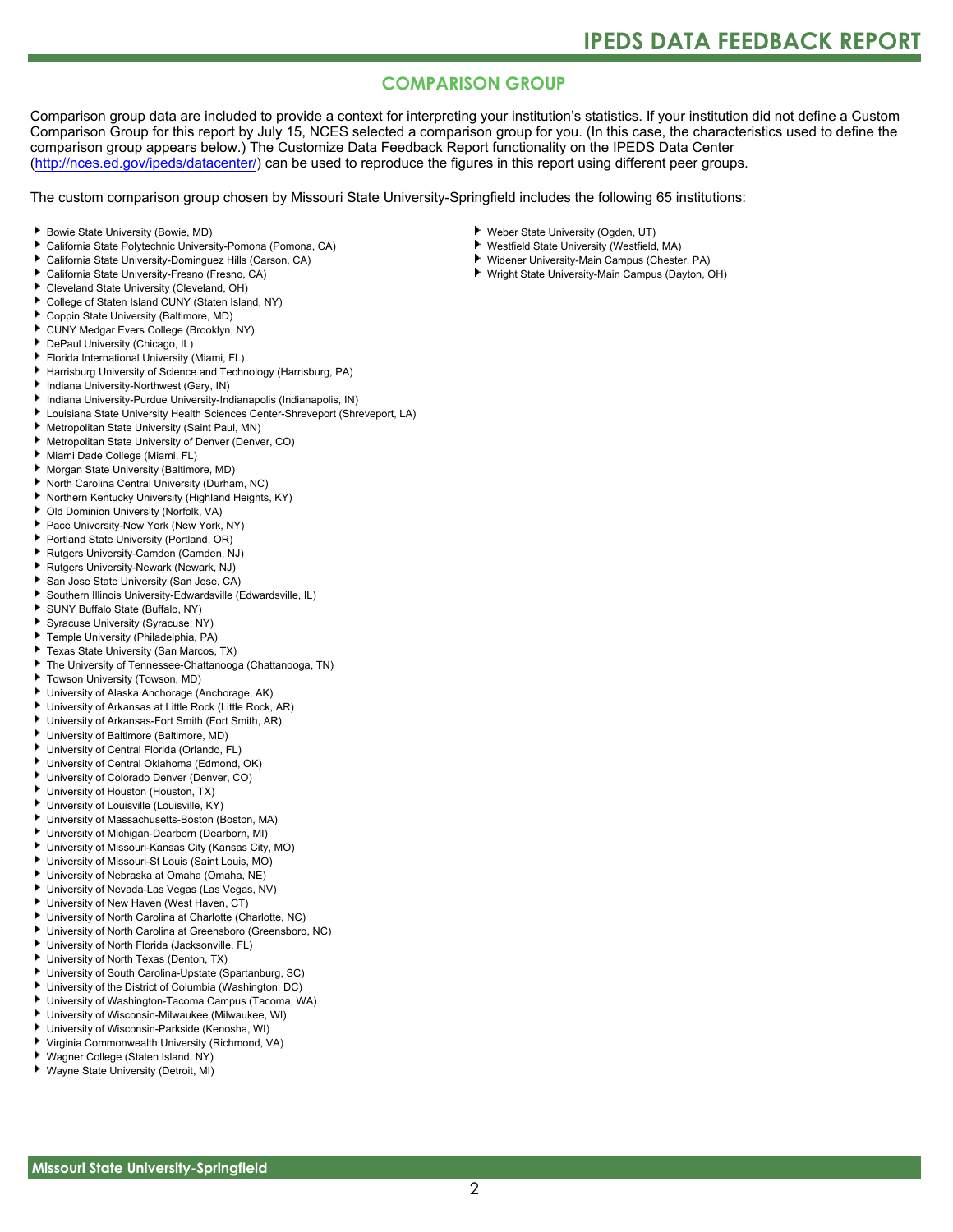### **COMPARISON GROUP**

Comparison group data are included to provide a context for interpreting your institution's statistics. If your institution did not define a Custom Comparison Group for this report by July 15, NCES selected a comparison group for you. (In this case, the characteristics used to define the comparison group appears below.) The Customize Data Feedback Report functionality on the IPEDS Data Center [\(http://nces.ed.gov/ipeds/datacenter/\)](http://nces.ed.gov/ipeds/datacenter/) can be used to reproduce the figures in this report using different peer groups.

The custom comparison group chosen by Missouri State University-Springfield includes the following 65 institutions:

- Bowie State University (Bowie, MD)
- California State Polytechnic University-Pomona (Pomona, CA)
- California State University-Dominguez Hills (Carson, CA)
- ь California State University-Fresno (Fresno, CA)
- Cleveland State University (Cleveland, OH)
- College of Staten Island CUNY (Staten Island, NY)
- Coppin State University (Baltimore, MD)
- CUNY Medgar Evers College (Brooklyn, NY)
- DePaul University (Chicago, IL)
- Florida International University (Miami, FL)
- Harrisburg University of Science and Technology (Harrisburg, PA)
- Indiana University-Northwest (Gary, IN)
- Indiana University-Purdue University-Indianapolis (Indianapolis, IN)
- Louisiana State University Health Sciences Center-Shreveport (Shreveport, LA)
- Metropolitan State University (Saint Paul, MN)
- Metropolitan State University of Denver (Denver, CO)
- Miami Dade College (Miami, FL)
- Morgan State University (Baltimore, MD)
- North Carolina Central University (Durham, NC)
- Northern Kentucky University (Highland Heights, KY)
- Old Dominion University (Norfolk, VA)
- Pace University-New York (New York, NY)
- Portland State University (Portland, OR)
- Rutgers University-Camden (Camden, NJ)
- Rutgers University-Newark (Newark, NJ)
- San Jose State University (San Jose, CA)
- Southern Illinois University-Edwardsville (Edwardsville, IL)
- SUNY Buffalo State (Buffalo, NY)
- Syracuse University (Syracuse, NY)
- Temple University (Philadelphia, PA)
- Texas State University (San Marcos, TX)
- The University of Tennessee-Chattanooga (Chattanooga, TN)
- Towson University (Towson, MD)
- University of Alaska Anchorage (Anchorage, AK)
- University of Arkansas at Little Rock (Little Rock, AR)
- University of Arkansas-Fort Smith (Fort Smith, AR)
- University of Baltimore (Baltimore, MD)
- University of Central Florida (Orlando, FL)
- University of Central Oklahoma (Edmond, OK)
- University of Colorado Denver (Denver, CO)
- University of Houston (Houston, TX)
- University of Louisville (Louisville, KY)
- University of Massachusetts-Boston (Boston, MA)
- University of Michigan-Dearborn (Dearborn, MI)
- University of Missouri-Kansas City (Kansas City, MO)
- University of Missouri-St Louis (Saint Louis, MO)
- University of Nebraska at Omaha (Omaha, NE)
- University of Nevada-Las Vegas (Las Vegas, NV)
- 
- University of New Haven (West Haven, CT)
- University of North Carolina at Charlotte (Charlotte, NC)
- University of North Carolina at Greensboro (Greensboro, NC) University of North Florida (Jacksonville, FL)
- University of North Texas (Denton, TX)
- University of South Carolina-Upstate (Spartanburg, SC)
- University of the District of Columbia (Washington, DC)
- University of Washington-Tacoma Campus (Tacoma, WA)
- Þ. University of Wisconsin-Milwaukee (Milwaukee, WI)
- University of Wisconsin-Parkside (Kenosha, WI)
- Virginia Commonwealth University (Richmond, VA)
- Wagner College (Staten Island, NY)
- Wayne State University (Detroit, MI)
- Weber State University (Ogden, UT)
- Westfield State University (Westfield, MA)
- Widener University-Main Campus (Chester, PA)
- Wright State University-Main Campus (Dayton, OH)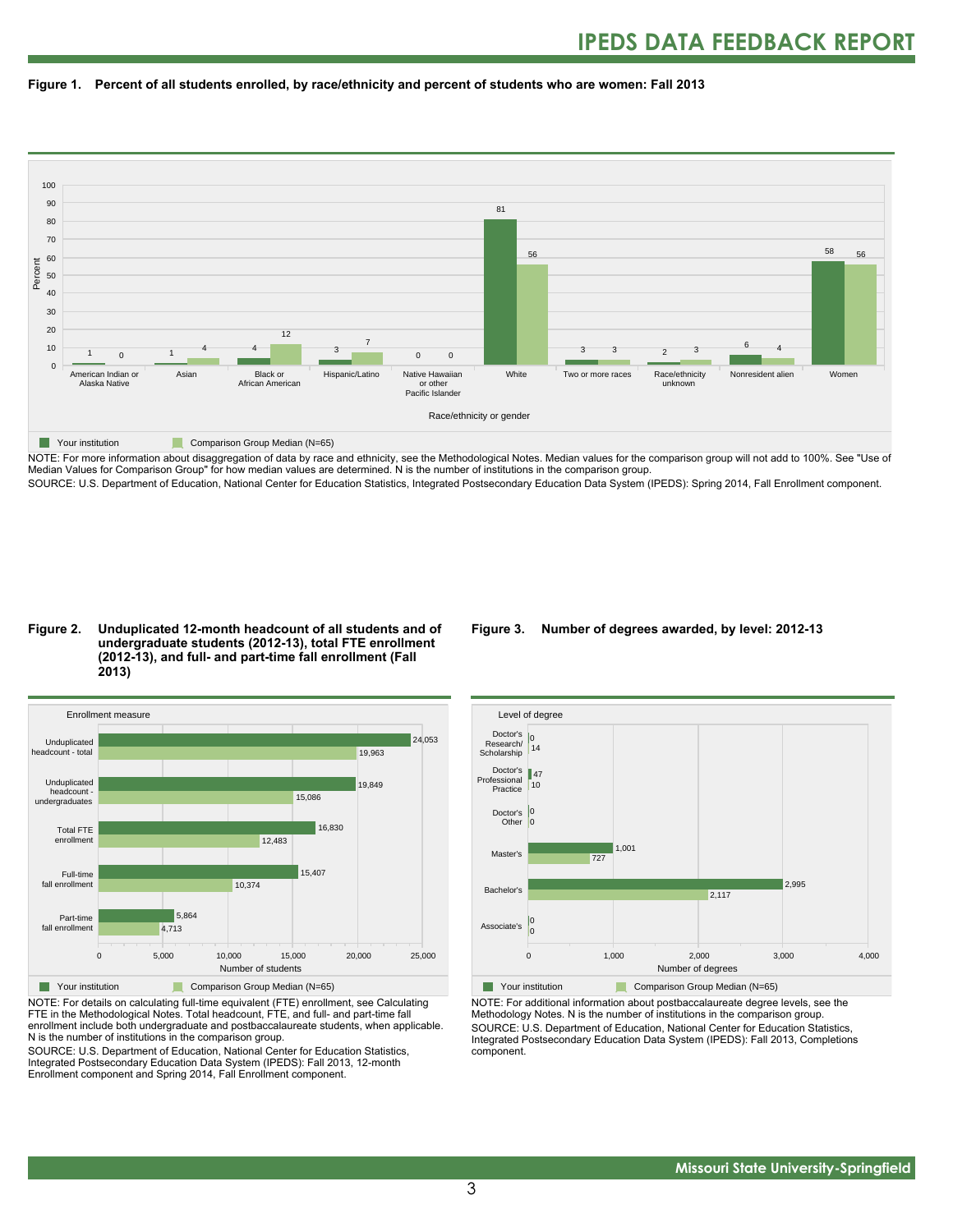



NOTE: For more information about disaggregation of data by race and ethnicity, see the Methodological Notes. Median values for the comparison group will not add to 100%. See "Use of Median Values for Comparison Group" for how median values are determined. N is the number of institutions in the comparison group. SOURCE: U.S. Department of Education, National Center for Education Statistics, Integrated Postsecondary Education Data System (IPEDS): Spring 2014, Fall Enrollment component.

#### **Figure 2. Unduplicated 12-month headcount of all students and of undergraduate students (2012-13), total FTE enrollment (2012-13), and full- and part-time fall enrollment (Fall 2013)**



NOTE: For details on calculating full-time equivalent (FTE) enrollment, see Calculating FTE in the Methodological Notes. Total headcount, FTE, and full- and part-time fall enrollment include both undergraduate and postbaccalaureate students, when applicable. N is the number of institutions in the comparison group.

SOURCE: U.S. Department of Education, National Center for Education Statistics, Integrated Postsecondary Education Data System (IPEDS): Fall 2013, 12-month Enrollment component and Spring 2014, Fall Enrollment component.

#### **Figure 3. Number of degrees awarded, by level: 2012-13**



NOTE: For additional information about postbaccalaureate degree levels, see the Methodology Notes. N is the number of institutions in the comparison group. SOURCE: U.S. Department of Education, National Center for Education Statistics, Integrated Postsecondary Education Data System (IPEDS): Fall 2013, Completions component.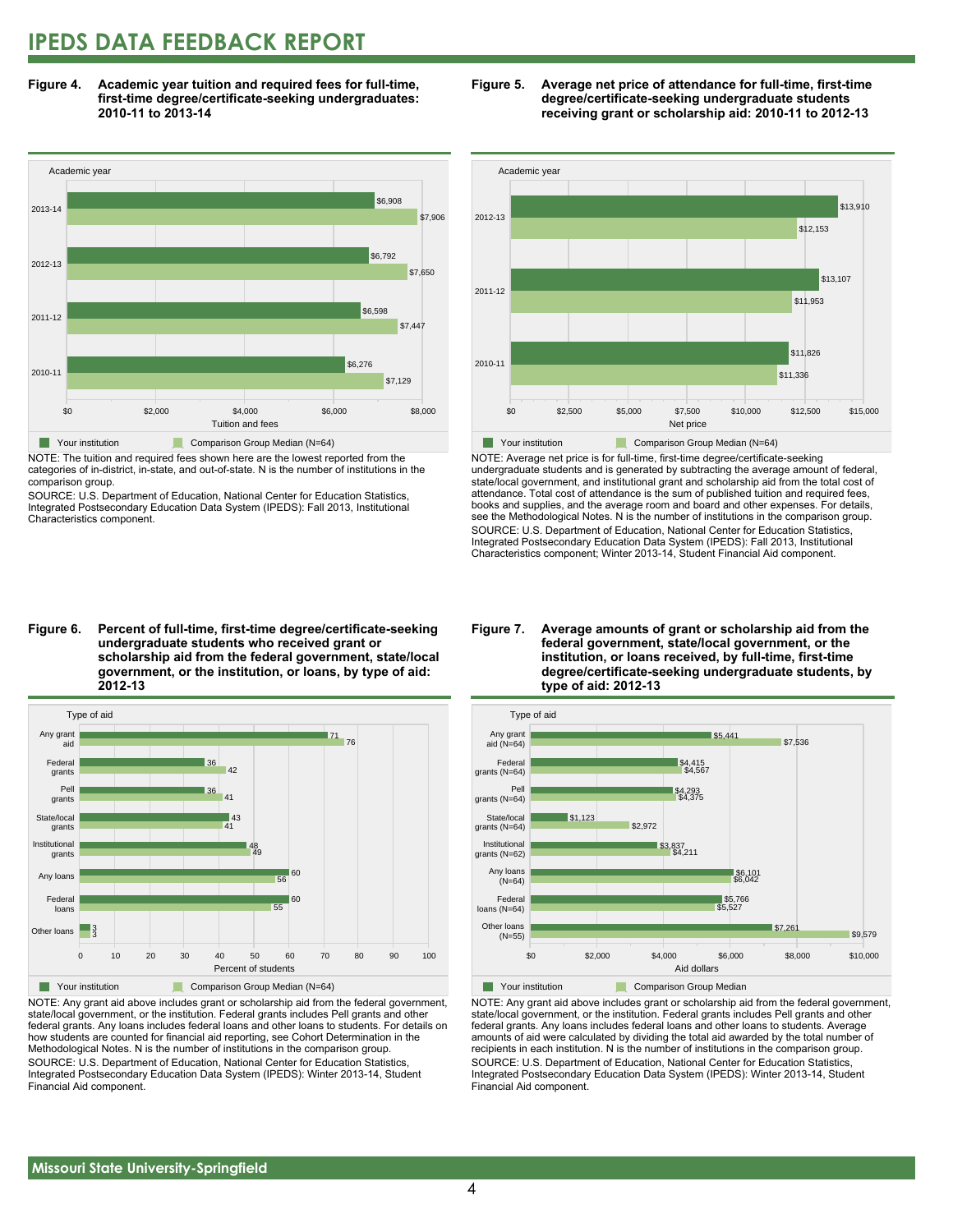### **IPEDS DATA FEEDBACK REPORT**

**Figure 4. Academic year tuition and required fees for full-time, first-time degree/certificate-seeking undergraduates: 2010-11 to 2013-14**



NOTE: The tuition and required fees shown here are the lowest reported from the categories of in-district, in-state, and out-of-state. N is the number of institutions in the comparison group.

SOURCE: U.S. Department of Education, National Center for Education Statistics, Integrated Postsecondary Education Data System (IPEDS): Fall 2013, Institutional Characteristics component.





NOTE: Average net price is for full-time, first-time degree/certificate-seeking undergraduate students and is generated by subtracting the average amount of federal, state/local government, and institutional grant and scholarship aid from the total cost of attendance. Total cost of attendance is the sum of published tuition and required fees, books and supplies, and the average room and board and other expenses. For details, see the Methodological Notes. N is the number of institutions in the comparison group. SOURCE: U.S. Department of Education, National Center for Education Statistics, Integrated Postsecondary Education Data System (IPEDS): Fall 2013, Institutional Characteristics component; Winter 2013-14, Student Financial Aid component.

**Figure 6. Percent of full-time, first-time degree/certificate-seeking undergraduate students who received grant or scholarship aid from the federal government, state/local government, or the institution, or loans, by type of aid: 2012-13**



NOTE: Any grant aid above includes grant or scholarship aid from the federal government, state/local government, or the institution. Federal grants includes Pell grants and other federal grants. Any loans includes federal loans and other loans to students. For details on how students are counted for financial aid reporting, see Cohort Determination in the Methodological Notes. N is the number of institutions in the comparison group. SOURCE: U.S. Department of Education, National Center for Education Statistics, Integrated Postsecondary Education Data System (IPEDS): Winter 2013-14, Student Financial Aid component.

#### **Figure 7. Average amounts of grant or scholarship aid from the federal government, state/local government, or the institution, or loans received, by full-time, first-time degree/certificate-seeking undergraduate students, by type of aid: 2012-13**



NOTE: Any grant aid above includes grant or scholarship aid from the federal government, state/local government, or the institution. Federal grants includes Pell grants and other federal grants. Any loans includes federal loans and other loans to students. Average amounts of aid were calculated by dividing the total aid awarded by the total number of recipients in each institution. N is the number of institutions in the comparison group. SOURCE: U.S. Department of Education, National Center for Education Statistics, Integrated Postsecondary Education Data System (IPEDS): Winter 2013-14, Student Financial Aid component.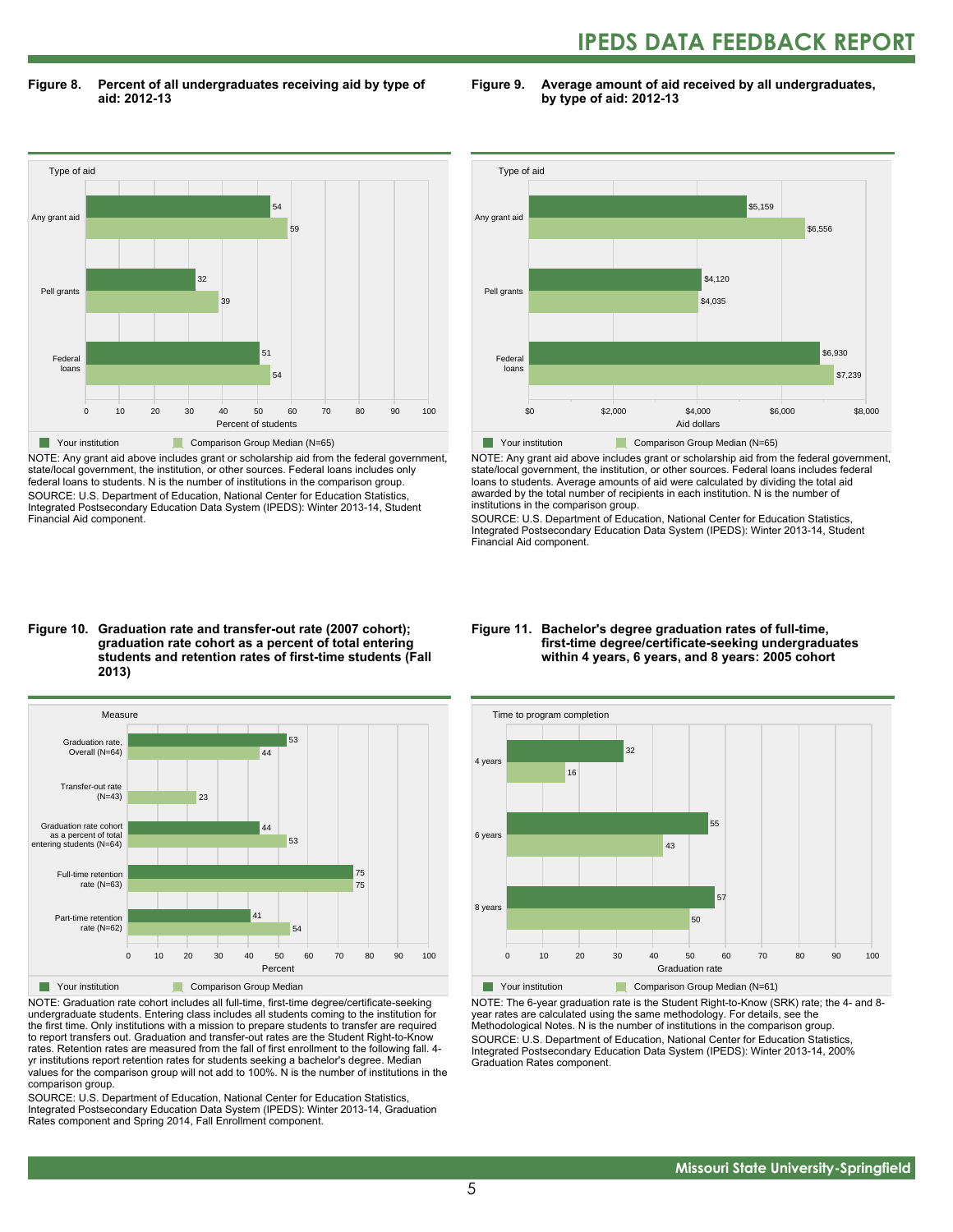## **IPEDS DATA FEEDBACK REPORT**

**Figure 8. Percent of all undergraduates receiving aid by type of aid: 2012-13**

**Figure 9. Average amount of aid received by all undergraduates, by type of aid: 2012-13**



NOTE: Any grant aid above includes grant or scholarship aid from the federal government, state/local government, the institution, or other sources. Federal loans includes only federal loans to students. N is the number of institutions in the comparison group. SOURCE: U.S. Department of Education, National Center for Education Statistics, Integrated Postsecondary Education Data System (IPEDS): Winter 2013-14, Student Financial Aid component.



NOTE: Any grant aid above includes grant or scholarship aid from the federal government, state/local government, the institution, or other sources. Federal loans includes federal loans to students. Average amounts of aid were calculated by dividing the total aid awarded by the total number of recipients in each institution. N is the number of institutions in the comparison group.

SOURCE: U.S. Department of Education, National Center for Education Statistics, Integrated Postsecondary Education Data System (IPEDS): Winter 2013-14, Student Financial Aid component.

#### **Figure 10. Graduation rate and transfer-out rate (2007 cohort); graduation rate cohort as a percent of total entering students and retention rates of first-time students (Fall 2013)**



NOTE: Graduation rate cohort includes all full-time, first-time degree/certificate-seeking undergraduate students. Entering class includes all students coming to the institution for the first time. Only institutions with a mission to prepare students to transfer are required to report transfers out. Graduation and transfer-out rates are the Student Right-to-Know rates. Retention rates are measured from the fall of first enrollment to the following fall. 4 yr institutions report retention rates for students seeking a bachelor's degree. Median values for the comparison group will not add to 100%. N is the number of institutions in the comparison group.

SOURCE: U.S. Department of Education, National Center for Education Statistics, Integrated Postsecondary Education Data System (IPEDS): Winter 2013-14, Graduation Rates component and Spring 2014, Fall Enrollment component.

#### **Figure 11. Bachelor's degree graduation rates of full-time, first-time degree/certificate-seeking undergraduates within 4 years, 6 years, and 8 years: 2005 cohort**



NOTE: The 6-year graduation rate is the Student Right-to-Know (SRK) rate; the 4- and 8 year rates are calculated using the same methodology. For details, see the Methodological Notes. N is the number of institutions in the comparison group. SOURCE: U.S. Department of Education, National Center for Education Statistics, Integrated Postsecondary Education Data System (IPEDS): Winter 2013-14, 200% Graduation Rates component.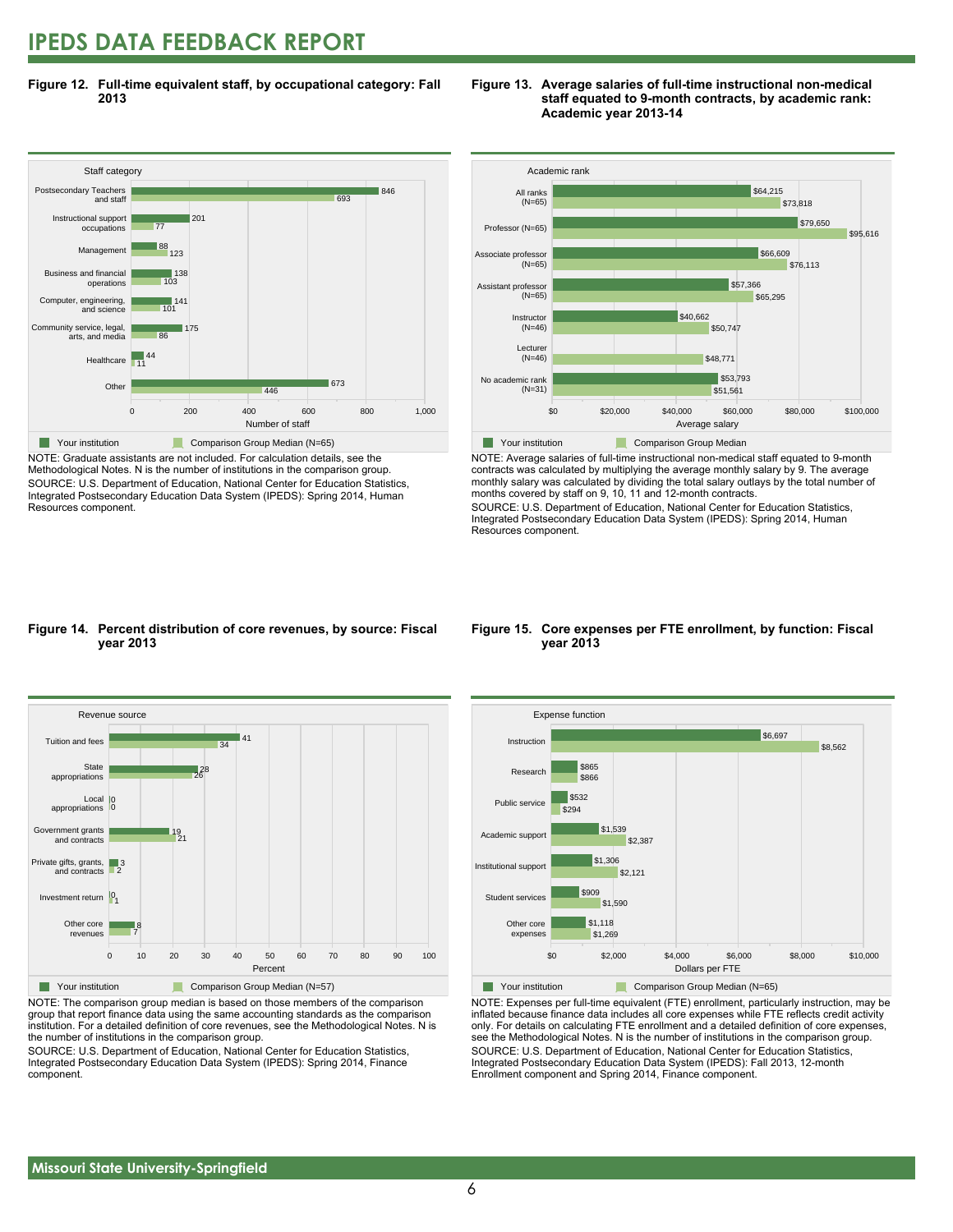### **IPEDS DATA FEEDBACK REPORT**

**Figure 12. Full-time equivalent staff, by occupational category: Fall 2013**



NOTE: Graduate assistants are not included. For calculation details, see the Methodological Notes. N is the number of institutions in the comparison group. SOURCE: U.S. Department of Education, National Center for Education Statistics, Integrated Postsecondary Education Data System (IPEDS): Spring 2014, Human Resources component.





NOTE: Average salaries of full-time instructional non-medical staff equated to 9-month contracts was calculated by multiplying the average monthly salary by 9. The average monthly salary was calculated by dividing the total salary outlays by the total number of months covered by staff on 9, 10, 11 and 12-month contracts.

SOURCE: U.S. Department of Education, National Center for Education Statistics, Integrated Postsecondary Education Data System (IPEDS): Spring 2014, Human Resources component.

#### **Figure 14. Percent distribution of core revenues, by source: Fiscal year 2013**



NOTE: The comparison group median is based on those members of the comparison group that report finance data using the same accounting standards as the comparison institution. For a detailed definition of core revenues, see the Methodological Notes. N is the number of institutions in the comparison group.

SOURCE: U.S. Department of Education, National Center for Education Statistics, Integrated Postsecondary Education Data System (IPEDS): Spring 2014, Finance component.

#### **Figure 15. Core expenses per FTE enrollment, by function: Fiscal year 2013**



NOTE: Expenses per full-time equivalent (FTE) enrollment, particularly instruction, may be inflated because finance data includes all core expenses while FTE reflects credit activity only. For details on calculating FTE enrollment and a detailed definition of core expenses, see the Methodological Notes. N is the number of institutions in the comparison group. SOURCE: U.S. Department of Education, National Center for Education Statistics, Integrated Postsecondary Education Data System (IPEDS): Fall 2013, 12-month Enrollment component and Spring 2014, Finance component.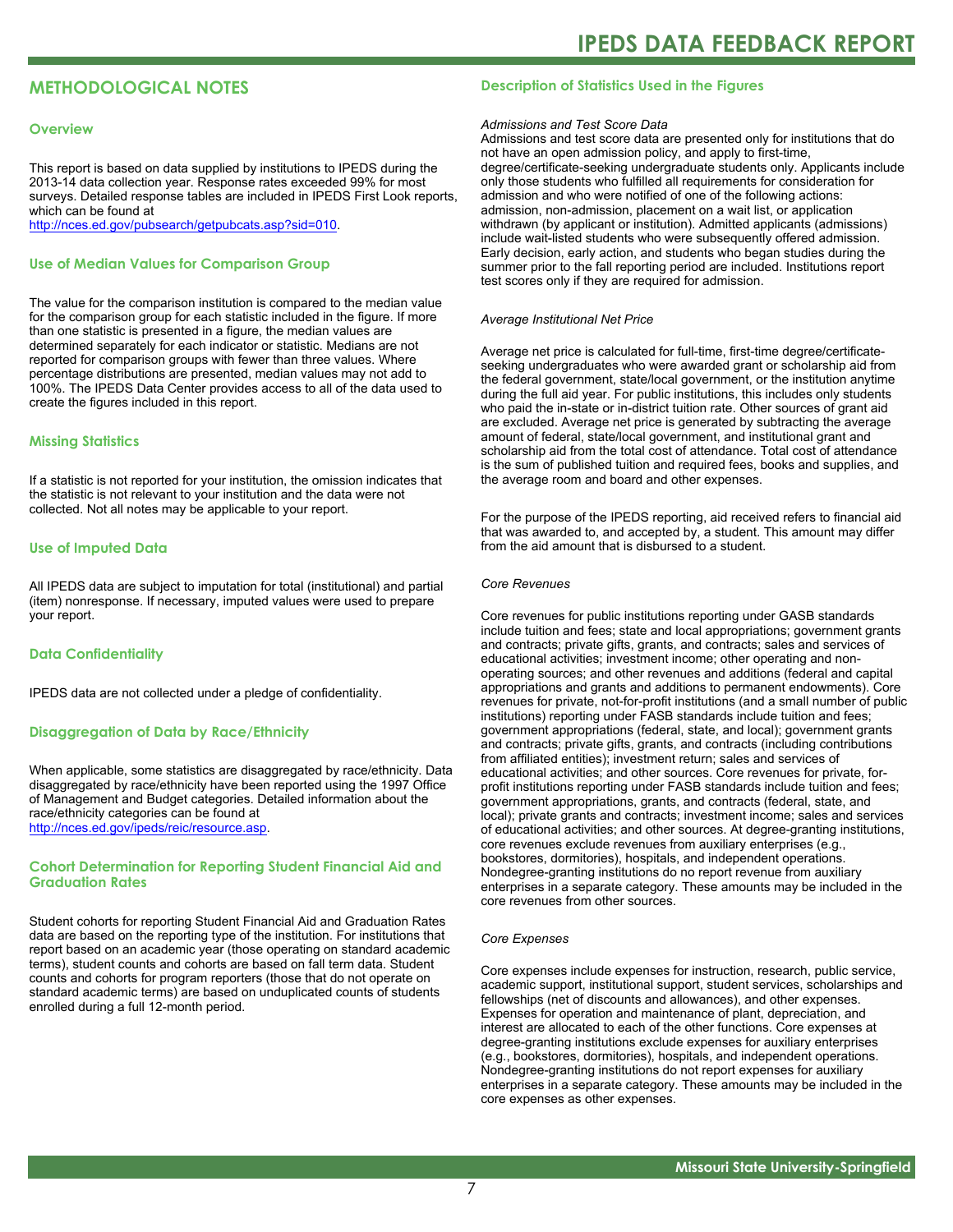#### **METHODOLOGICAL NOTES**

#### **Overview**

This report is based on data supplied by institutions to IPEDS during the 2013-14 data collection year. Response rates exceeded 99% for most surveys. Detailed response tables are included in IPEDS First Look reports, which can be found at [http://nces.ed.gov/pubsearch/getpubcats.asp?sid=010.](http://nces.ed.gov/pubsearch/getpubcats.asp?sid=010)

#### **Use of Median Values for Comparison Group**

The value for the comparison institution is compared to the median value for the comparison group for each statistic included in the figure. If more than one statistic is presented in a figure, the median values are determined separately for each indicator or statistic. Medians are not reported for comparison groups with fewer than three values. Where percentage distributions are presented, median values may not add to 100%. The IPEDS Data Center provides access to all of the data used to create the figures included in this report.

#### **Missing Statistics**

If a statistic is not reported for your institution, the omission indicates that the statistic is not relevant to your institution and the data were not collected. Not all notes may be applicable to your report.

#### **Use of Imputed Data**

All IPEDS data are subject to imputation for total (institutional) and partial (item) nonresponse. If necessary, imputed values were used to prepare your report.

#### **Data Confidentiality**

IPEDS data are not collected under a pledge of confidentiality.

#### **Disaggregation of Data by Race/Ethnicity**

When applicable, some statistics are disaggregated by race/ethnicity. Data disaggregated by race/ethnicity have been reported using the 1997 Office of Management and Budget categories. Detailed information about the race/ethnicity categories can be found at <http://nces.ed.gov/ipeds/reic/resource.asp>.

#### **Cohort Determination for Reporting Student Financial Aid and Graduation Rates**

Student cohorts for reporting Student Financial Aid and Graduation Rates data are based on the reporting type of the institution. For institutions that report based on an academic year (those operating on standard academic terms), student counts and cohorts are based on fall term data. Student counts and cohorts for program reporters (those that do not operate on standard academic terms) are based on unduplicated counts of students enrolled during a full 12-month period.

#### **Description of Statistics Used in the Figures**

#### *Admissions and Test Score Data*

Admissions and test score data are presented only for institutions that do not have an open admission policy, and apply to first-time, degree/certificate-seeking undergraduate students only. Applicants include only those students who fulfilled all requirements for consideration for admission and who were notified of one of the following actions: admission, non-admission, placement on a wait list, or application withdrawn (by applicant or institution). Admitted applicants (admissions) include wait-listed students who were subsequently offered admission. Early decision, early action, and students who began studies during the summer prior to the fall reporting period are included. Institutions report test scores only if they are required for admission.

#### *Average Institutional Net Price*

Average net price is calculated for full-time, first-time degree/certificateseeking undergraduates who were awarded grant or scholarship aid from the federal government, state/local government, or the institution anytime during the full aid year. For public institutions, this includes only students who paid the in-state or in-district tuition rate. Other sources of grant aid are excluded. Average net price is generated by subtracting the average amount of federal, state/local government, and institutional grant and scholarship aid from the total cost of attendance. Total cost of attendance is the sum of published tuition and required fees, books and supplies, and the average room and board and other expenses.

For the purpose of the IPEDS reporting, aid received refers to financial aid that was awarded to, and accepted by, a student. This amount may differ from the aid amount that is disbursed to a student.

#### *Core Revenues*

Core revenues for public institutions reporting under GASB standards include tuition and fees; state and local appropriations; government grants and contracts; private gifts, grants, and contracts; sales and services of educational activities; investment income; other operating and nonoperating sources; and other revenues and additions (federal and capital appropriations and grants and additions to permanent endowments). Core revenues for private, not-for-profit institutions (and a small number of public institutions) reporting under FASB standards include tuition and fees; government appropriations (federal, state, and local); government grants and contracts; private gifts, grants, and contracts (including contributions from affiliated entities); investment return; sales and services of educational activities; and other sources. Core revenues for private, forprofit institutions reporting under FASB standards include tuition and fees; government appropriations, grants, and contracts (federal, state, and local); private grants and contracts; investment income; sales and services of educational activities; and other sources. At degree-granting institutions, core revenues exclude revenues from auxiliary enterprises (e.g., bookstores, dormitories), hospitals, and independent operations. Nondegree-granting institutions do no report revenue from auxiliary enterprises in a separate category. These amounts may be included in the core revenues from other sources.

#### *Core Expenses*

Core expenses include expenses for instruction, research, public service, academic support, institutional support, student services, scholarships and fellowships (net of discounts and allowances), and other expenses. Expenses for operation and maintenance of plant, depreciation, and interest are allocated to each of the other functions. Core expenses at degree-granting institutions exclude expenses for auxiliary enterprises (e.g., bookstores, dormitories), hospitals, and independent operations. Nondegree-granting institutions do not report expenses for auxiliary enterprises in a separate category. These amounts may be included in the core expenses as other expenses.